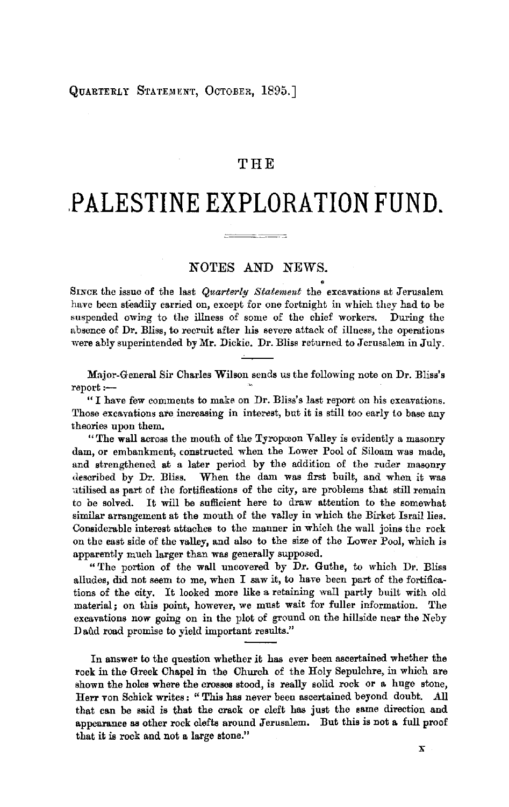### QUARTERLY STATEMENT, OCTOBER, 1895.]

# THE

# **.PALESTINE EXPLORATION FUND.**

 $\frac{1}{2}$   $\frac{1}{2}$   $\frac{1}{2}$   $\frac{1}{2}$   $\frac{1}{2}$   $\frac{1}{2}$   $\frac{1}{2}$   $\frac{1}{2}$   $\frac{1}{2}$   $\frac{1}{2}$   $\frac{1}{2}$   $\frac{1}{2}$   $\frac{1}{2}$   $\frac{1}{2}$   $\frac{1}{2}$   $\frac{1}{2}$   $\frac{1}{2}$   $\frac{1}{2}$   $\frac{1}{2}$   $\frac{1}{2}$   $\frac{1}{2}$   $\frac{1}{2}$ 

# NOTES AND NEWS.

. SINCE the issue of the last *Quarterly Statement* the excavations at Jerusalem have been steadily carried on, except for one fortnight in which they had to be suspended owing to the illness of some of the chief workers. During the absence of Dr. Bliss, to recruit after his severe attack of illness, the operations were ably superintended by Mr. Dickie. Dr. Bliss returned to Jerusalem in July.

Major-General Sir Charles Wilson sends us the following note on Dr. Bliss's report:-

" I have few comments to make on Dr. Bliss's last report on his excavations. Those excavations are increasing in interest, but it is still too early to base any theories upon them.

" The wall across the mouth of the Tyropoeon Valley is evidently a masonry dam, or embankment, constructed when the Lower Pool of Siloam was made, and strengthened at a later period by the addition of the ruder masonry described by Dr. Bliss. When the dam was first built, and when it was utilised as part of the fortifications of the city, are problems that still remain to be solved. It will be sufficient here to draw attention to the somewhat similar arrangement at the mouth of the valley in which the Birket Israil lies. Considerable interest attaches to the manner in which Lhe wall joins the rock on the east side of the valley, and also to the size of the Lower Pool, which is apparently much larger than was generally supposed.

"The portion of the wall uncovered by Dr. Guthe, to which Dr. Bliss alludes, did not seem to me, when I saw it, to have been part of the fortifications of the city. It looked more like a retaining wall partly built with old material; on this point, however, we must wait for fuller information. The excavations now going on in the plot of ground on the hillside near the Neby Daud road promise to yield important results."

In answer to the question whether it has ever been ascertained whether the rock in the Greek Chapel in the Church of the Holy Sepulchre, in which are shown the holes where the crosses stood, is really solid rock or a huge stone, Herr von Schick writes: "This has never been ascertained beyond doubt. *.All*  that can be said is that the crack or cleft has just the same direction and appearance as other rock clefts around Jerusalem. But this is not a full proof that it is rock and not a large stone."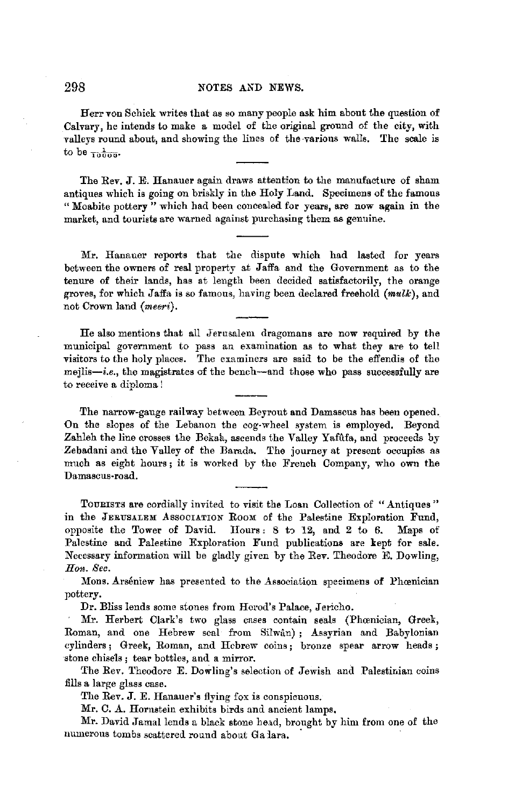#### 298 NOTES AND NEWS.

Herr von Schick writes that as so many people ask him about the question of Calvary, he intends to make a model of the original ground of the city, with valleys round about, and showing the lines of the -various walls. The scale is to be  $\frac{1}{10000}$ .

The Rev. J.E. Hanauer again draws attention to the manufacture of sham antiques which is going on briskly in the Holy Land. Specimens of the famous " Moabite pottery " which had been concealed for years, are now again in the market, and tourists are warned against purchasing them as genuine.

Mr. Hanauer reports that the dispute which had lasted for years between the owners of real property at Jaffa and the Government as to the tenure of their lands, has at length been decided satisfactorily, the orange groves, for which Jaffa is so famous, having been declared freehold *(mulk),* and not Crown land *(meeri).* 

He also mentions that all Jerusalem dragomans are now required by the municipal government to pass an examination as to what they are to tell visitors to the holy places. The examiners are said to be the effendis of the mejlis-i.e., the magistrates of the bench--and those who pass successfully are to receive a diploma!

The narrow-gauge railway between Beyrout and Damascus has been opened. On the slopes of the Lebanon the cog-wheel system is employed. Beyond Zahleh the line crosses the Bekah, ascends the Valley Yafûfa, and proceeds by Zebadani and the Valley of the Barada. The journey at present occupies as much as eight hours; it is worked by the French Company, who own the Damascus-road.

TOURISTS are cordially invited to visit the Loan Collection of "Antiques" in the JERUSALEM AssocrATION RooM of the Palestine Exploration Fund, opposite the Tower of David. Hours:  $8$  to  $12$ , and  $2$  to  $6$ . Maps of Palestine and Palestine Exploration Fund publications are kept for sale. Necessary information will be gladly given by the Rev. Theodore E. Dowling, *Hon. Sec.* 

Mons. Arséniew has presented to the Association specimens of Phoenician pottery.

Dr. Bliss lends some stones from Herod's Palace, Jericho.

Mr. Herbert Clark's two glass cases contain seals (Phoenician, Greek, Roman, and one Hebrew seal from Silwan) ; Assyrian and Babylonian cylinders; Greek, Roman, and Hebrew coins; bronze spear arrow heads; stone chisels ; tear bottles, and a mirror.

The Rev. Theodore E. Dowling's selection of Jewish and .Palestinian coins fills a large glass case.

The Rev. J. E. Hanauer's flying fox is conspicuous.

Mr. C. A. Hornstein exhibits birds and ancient lamps.

Mr. David Jamal lends a black stone head, brought by him from one of the numerous tombs scattered round about Ga lara,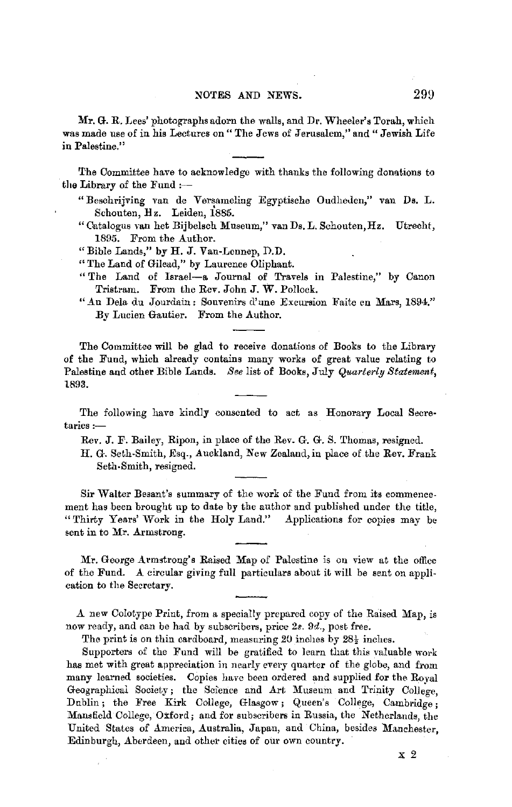### NOTES AND NEWS. 299

**Mr. G.** R. Lees' photographs adorn the walls, and Dr, Wheeler's Torah, which was made use of in his Lectures on " The Jews of Jerusalem," and " Jewish Life in Palestine."

The Committee have to acknowledge with thanks the following donations to the Library of the Fund  $:$ --

- "Beschrijving van de Versameling Egyptische Oudheden," van Ds. L. Schouten, Hz. Leiden, 1885.
- "Catalogus van het Bijbelsch Museum," van Ds. L. Schouten,Hz. Utrecht, 1895. From the Author.
- "Bible Lands," by H.J. Van-Lonnep, D.D.
- "The Land of Gilead," by Laurence Oliphant.
- "The Land of Israel-a Journal of Travels in Palestine," by Canon Tristram. From the Rev. John J. W. Pollock.
- ".An Dela du Jourdain: Souvenirs d'une Excursion Faite en Mars, 1894." By Lucien Gautier. From the Author.

The Committee will be glad to receive donations of Books to the Library of the Fund, which already contains many works of great value relating to Palestine and other Bible Lands. *See* list of Books, July *Quarterly Statement,*  1893.

The following have kindly consented to act as Honorary Local Secre $t$ aries : $-$ 

Rev. J. F. Bailey, Ripon, in place of the Rev. G. G. S. Thomas, resigned.

H. G. Seth-Smith, Esq., Auckland, New Zealand,in place of the Rev. Frank Seth-Smith, resigned.

Sir Walter Besant's summary of the work of the Fund from its commencement has been brought up to date by the author and published under the title, "Thirty Years' Work in the Holy Land." Applications for copies may be sent in to Mr. Armstrong.

Mr. George Armstrong's Raised Map of Palestine is on view at the office of the Fund. A circular giving full particulars about it will be sent on application to the Secretary.

A new Colotype Print, from a specially prepared copy of the Raised Map, is now ready, and can be had by subscribers, price 2s. 9d., post free.

The print is on thin cardboard, measuring 20 inches by  $28\frac{1}{2}$  inches.

Supporters of the Fund will be gratified to learn that this valuable work has met with great appreciation in nearly every quarter of the globe, and from many learned societies. Copies have been ordered and supplied for the Roval Geographical Society; the Science and Art Museum and Trinity College, Dublin; the Free Kirk College, Glasgow; Queen's College, Cambridge; Mansfield College, Oxford; and for subscribers in Russia, the Netherlands, the United States of America, Australia, Japan, and China, besides Manchester, Edinburgh, Aberdeen, and other cities of our own country.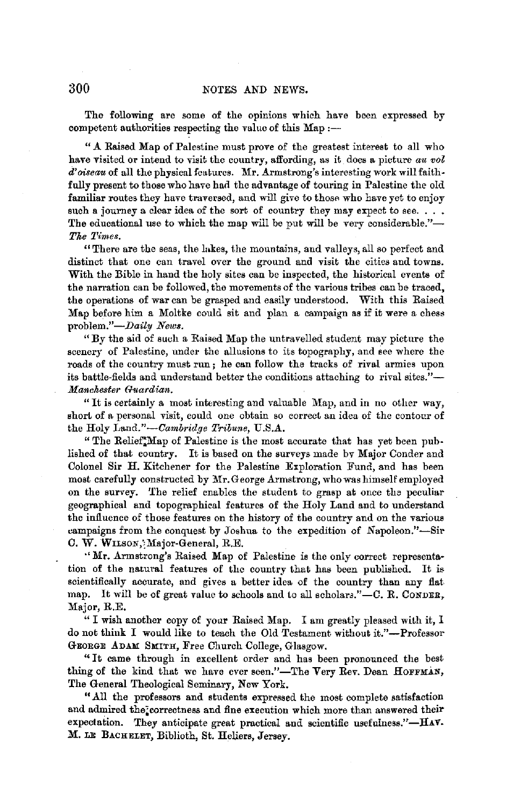The following are some of the opinions which have been expressed by competent authorities respecting the value of this  $Map:$  --

".A.Raised Map of Palestine must prove of the greatest interest to all who have visited or intend to visit the country, affording, as it does a picture *au vol*  d' *oiseau* of all the physical features. Mr. Armstrong's interesting work will faithfully present to those who have had the advantage of touring in Palestine the old familiar routes they have traversed, and will give to those who have yet to enjoy such a journey a clear idea of the sort of country they may expect to see.  $\ldots$ The educational use to which the map will be put will be very considerable."-*Tke Times.* 

"There are the seas, the lakes, the mountains, and valleys, all so perfect and distinct that one can travel over the ground and visit the cities and towns. With the Bible in hand the holy sites can be inspected, the historical events of the narration can be followed, the movements of the various tribes can be traced, the operations of war can be grasped and easily understood. With this Raised Map before him a Moltke could sit and plan a campaign as if it were a chess problem."-Daily News.

"By the aid of such a Raised Map the untravelled student may picture the scenery of Palestine, under the allusions to its topography, and see where the roads of the country must run; he can follow the tracks of rival armies upon its battle-fields and understand better the conditions attaching to rival sites."-*Manekester Guardian.* 

"It is certainly a most inttiresting and valuable Map, and in no other way, short of a personal visit, could one obtain so correct an idea of the contour of the Holy *Land."-Cambridge Tribune,* U.S.A.

" The Relief; Map of Palestine is the most accurate that has yet been published of that country. It is based on the surveys made bv Major Conder and Colonel Sir H. Kitchener for the Palestine Exploration Fund, and has been most carefully constructed by Mr.George Armstrong, who was himself employed on the survey. The relief enables the student to grasp at once the peculiar geographical and topographical features of the Holy Land and to understand the influence of those features on the history of the country and on the various campaigns from the conquest by Joshua to the expedition of Napoleon."-Sir C. W. WILSON, Major-General, R.E.

·• Mr. Armstrong's Raised Map of Palestine is the only correct representation of the natural features of the country that has been published. It is scientifically accurate, und gives a better idea of the country than any flat map. It will be of great value to schools and to all scholars."-C. R. CONDER, Major, R.E.

" I wish another copy of your Raised Map. I am greatly pleased with it, I do not think I would like to teach the Old Testament without it."-Profesaor GEORGE ADAM SMITH, Free Church College, Glasgow.

"It came through in excellent order and has been pronounced the best thing of the kind that we have ever seen."-The Very Rev. Dean HOFFMAN, The General Theological Seminary, New York.

"All the professors and students expressed the most complete satisfaction and admired the;correctness and fine execution which more than answered their expectation. They anticipate great practical and scientific usefulness." $-HAY$ . M. LE BACHELET, Biblioth, St. Heliers, Jersey.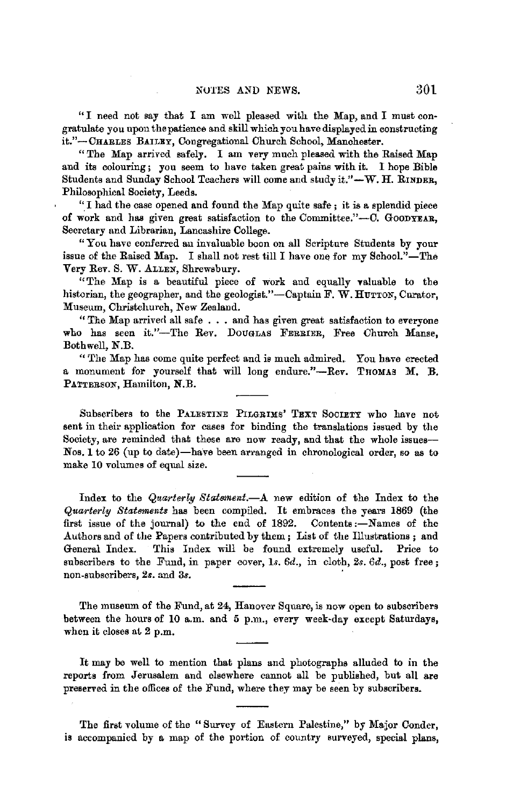"I need not say that I am well pleased with the Map, and I must congratulate you upon the patience and skill which you have displayed in constructing it."-CHARLES BAILEY, Congregational Church School, Manchester.

"The Map arrived safely. I am very much pleased with the Raised Map and its colouring; you seem to have taken great pains with it. I hope Bible Students and Sunday School Teachers will come and study it."-W. H. RINDER, Philosophical Society, Leeds.

"\_I had the case opened and found the Map quite safe; it is a splendid piece of work and has given great satisfaction to the Committee."-C. GOODYEAR, Secretary and Librarian, Lancashire College.

"You have conferred au invaluable boon on all Scripture Students by your issue of the Raised Map. I shall not rest till I have one for my School."-The Very Rev. S. W. ALLEN, Shrewsbury.

"The Map is a beautiful piece of work and equally valuable to the historian, the geographer, and the geologist."-Captain F. W. HUTTON, Curator, Museum, Christchurch, New Zealand.

"The Map arrived all safe . . . and has given great satisfaction to everyone who has seen it."-The Rev. DOUGLAS FERRIER, Free Church Manse, Bothwell, N.B.

"The Map has come quite perfect and is much admired. You have erected a monument for yourself that will long endure."-Rev. THOMAS M. B. PATTERSON, Hamilton, **N.B.** 

Subscribers to the PALESTINE PILGRIMS' TEXT SOCIETY who have not sent in their application for cases for binding the translations issued by the Society, are reminded that these are now ready, and that the whole issues-Nos. 1 to 26 (up to date)-have been arranged in chronological order, so as to make 10 volumes of equal size.

Index to the *Quarterly Statement.-.A.* new edition of the Index to the *Quarterly Statements* has been compiled. It embraces the years 1869 (the first issue of the journal) to the end of 1892. Contents :- Names of the Authors and of the Papers contributed by them; List of the Illustrations ; and General Index. This Index will be found extremely useful. Price to subscribers to the Fund, in paper cover, 1s. 6d., in cloth, 2s. 6d., post free; non-subscribers, 2s. and 3s.

The museum of the Fund, at 24, Hanover Square, is now open to subscribers between the hours of 10 a.m. and 5 p.m., every week-day except Saturdays, when it closes at 2 p.m.

It may be well to mention that plans and photographs alluded to in the reports from Jerusalem and elsewhere cannot all be published, but all are preserved in the offices of the Fund, where they may be seen by subscribers.

The first volume of the "Survey of Eastern Palestine," by Major Conder, **is** accompanied by a map of the portion of country surveyed, special plans,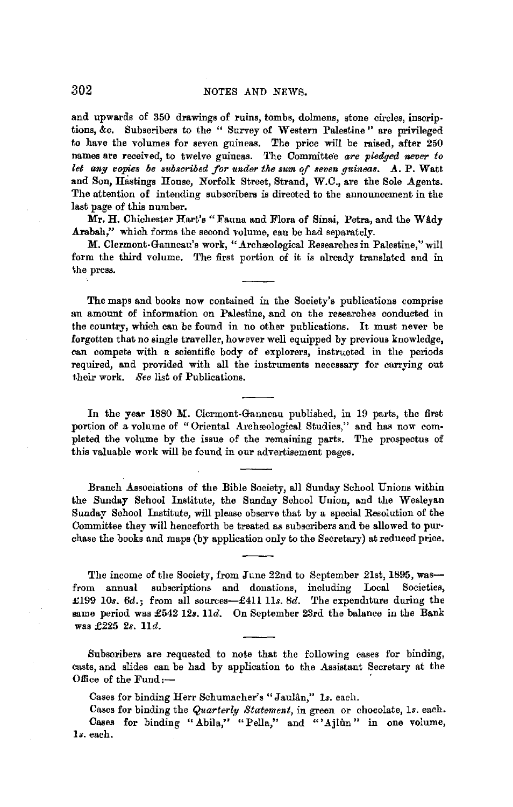and upwards of 350 drawings of ruins, tombs, dolmens, stone circles, inscriptions, &c. Subscribers to the " Survey of Western Palestine" are privileged to have the volumes for seven guineas. The price will be raised, after 250 names are received, to twelve guineas. The Committee are pledged never to let any copies be subscribed for under the sum of seven guineas. A. P. Watt and Son, Hastings House, Norfolk Street, Strand, W.C., are the Sole Agents. The attention of intending subscribers is directed to the announcement in the last page of this number.

Mr. H. Chichester Hart's "Fauna and Flora of Sinai, Petra, and the Wady Arabah," which forms the second volume, can be had separately.

**M.** Clermont-Ganneau's work, ".Archwological Researches in Palestine," will form the third volume. The first portion of it is already translated and in 'lhe press.

The maps and books now contained in the Society's publications comprise an amount of information on Palestine, and on the researches conducted in the country, which can be found in no other publications. It must never be forgotten that no single traveller, however well equipped by previous knowledge, can compete with a scientific body of explorers, instructed in the periods required, and provided with all the instruments necessary for carrying out their work. *See* list of Publications.

In the **year** 1880 **M.** Clermont-Ganneau published, in 19 parts, the first portion of a volume of "Oriental Archaeological Studies," and has now completed the volume by the issue of the remaining parts. The prospectus of this valuable work **will** be found in our advertisement pages.

Branch Associations of the Bible Society, all Sunday School Unions within the Sunday School Institute, the Sunday School Union, and the Wesleyan Sunday School Institute, will please observe that by a special Resolution of the Committee they will henceforth be treated as subscribers and be allowed to purchase the books and maps (by application only to the Secretary) at reduced price.

The income of the Society, from June 22nd to September 21st, 1895, wasfrom annual subscriptions and donations, including Locol Societies, £199 10s. 6d.; from all sources-£411 11s. 8d. The expenditure during the same period was £542 12a. *lld.* On September 23rd the balance in the Bank was £225 *2s. lld.* 

Subscribers are requested to note that the following cases for binding, casts, and slides can be had by application to the Assistant Secretary at the Office of the Fund: $-$ 

Cases for binding Herr Schumacher's" Jaulan," *ls.* each.

Cases for binding the *Quarterly Statement*, in green or chocolate, 1s. each. Cases for binding "Abila," "Pella," and "'Ajlûn" in one volume, *ls.* each.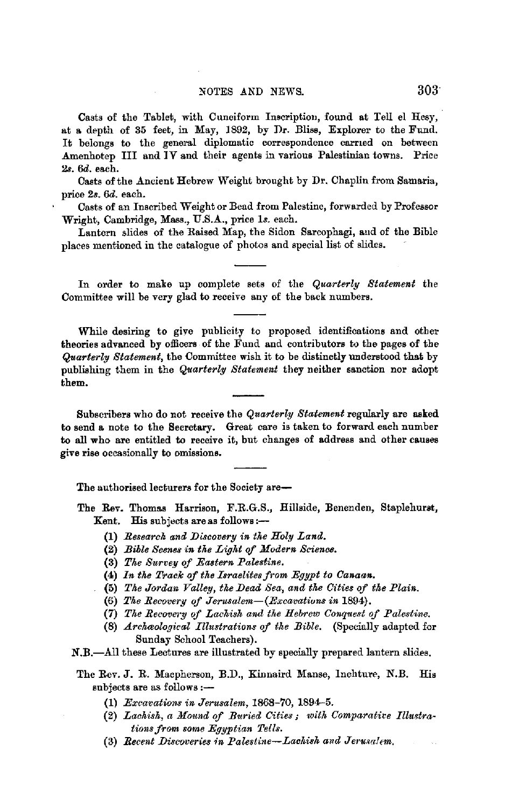## NOTES AND NEWS. 303

Casts of the Tablet, with Cuneiform Imcriptiou, found at Tell el Hesy, at a depth of 35 feet, in May, 1892, by *Dr.* Bliss, Explorer to the Fund. It belongs to the general diplomatic correspondence earned on between Amenhotep III and IV and their agents in various Palestinian towns. Price *2s. 6d.* each.

Casts of the Ancient Hebrew Weight brought by Dr. Chaplin from Samaria, price *2s. 6d.* each.

Casts of an Inscribed Weight or Bead from Palestine, forwarded by Professor Wright, Cambridge, Mass., U.S.A., price ls. each.

Lantern slides of the Raised Map, the Sidon Sarcophagi, and of the Bible places mentioned in the catalogue of photos and special list of slides.

In order to make up complete sets of the *Quarterly Statement* the Committee will be very glad to receive any of the back numbers.

While desiring to give publicity to proposed identifications and other theories advanced by officers of the Fund and contributors to the pages of the *Quarterly Statement,* the Committee wish it to be distinctly understood that by publishing them in the *Quarterly Statement* they neither sanction nor adopt them.

Subscribers who do not receive the *Quarterly Statement* regularly are **asked**  to send a note to the Secretary. Great care is taken to forward each number to all who are entitled to receive it, but changes of address and other causes give rise occasionally to omissions.

The authorised lecturers for the Society are-

The Rev. Thomas Harrison, F.R.G.S., Hillside, Benenden, Staplehurst, Kent. His subjects are as follows:-

- (1) *Research and Discovery in the Holy Land.*
- (2) *Bible Scenes in tke Ligkt of Modern Science.*
- (3) The Survey of Eastern Palestine.
- (4) *In tke Track of tke Israelites from Eggpt to Canaan.*
- (5) *The Jordan Valley, the Dead Sea, and the Cities of the Plain.*
- (6) *Tke Recovery of Jerusalem-(Excavatiuns in* 1894).
- (7) *Tlte Recovery of Lackisk and tke Hebrew Conquest of Palestine.*
- (8) *Archaeological Illustrations of the Bible.* (Specially adapted for Sunday School Teachers).

N.B.-All these Lectures are illustrated by specially prepared lantern slides.

The Rev. J. R. Macpherson, B.D., Kinnaird Manse, lnchture, N.B. His subjects are as follows :-

- (1) *Excavations in Jerusalem,* 1868-70, 1894--5.
- (2) *Laekisk, a Mound of Buried Cities; witk Comparative Illustrations from some Egyptian Tells.*
- (3) *Recent Discoveries in Palestine-Lachish and Jerusalem.*